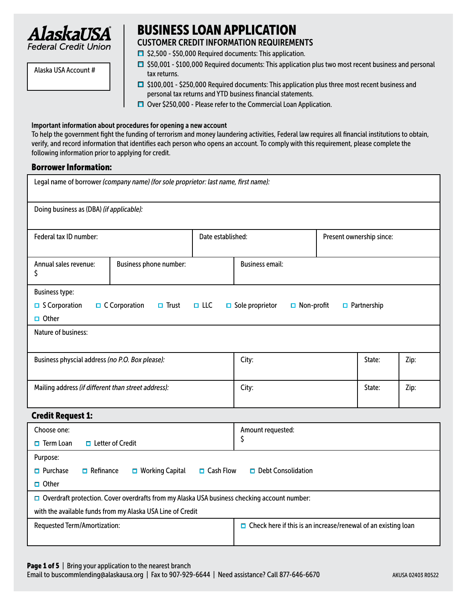

BUSINESS LOAN APPLICATION CUSTOMER CREDIT INFORMATION REQUIREMENTS

- 
- Alaska USA Account #
- $\Box$  \$2,500 \$50,000 Required documents: This application.
- $\Box$  \$50,001 \$100,000 Required documents: This application plus two most recent business and personal tax returns.
- $\Box$  \$100,001 \$250,000 Required documents: This application plus three most recent business and personal tax returns and YTD business financial statements.
- $\Box$  Over \$250,000 Please refer to the Commercial Loan Application.

#### Important information about procedures for opening a new account

To help the government fight the funding of terrorism and money laundering activities, Federal law requires all financial institutions to obtain, verify, and record information that identifies each person who opens an account. To comply with this requirement, please complete the following information prior to applying for credit.

### Borrower Information:

| Legal name of borrower (company name) (for sole proprietor: last name, first name):                            |                                                                                               |            |                                             |                          |                    |  |  |  |
|----------------------------------------------------------------------------------------------------------------|-----------------------------------------------------------------------------------------------|------------|---------------------------------------------|--------------------------|--------------------|--|--|--|
| Doing business as (DBA) (if applicable):                                                                       |                                                                                               |            |                                             |                          |                    |  |  |  |
| Federal tax ID number:<br>Date established:                                                                    |                                                                                               |            |                                             | Present ownership since: |                    |  |  |  |
| Annual sales revenue:<br>\$                                                                                    | Business phone number:                                                                        |            | <b>Business email:</b>                      |                          |                    |  |  |  |
| <b>Business type:</b>                                                                                          |                                                                                               |            |                                             |                          |                    |  |  |  |
| $\Box$ S Corporation                                                                                           | $\Box$ C Corporation<br>$\Box$ Trust                                                          | $\Box$ LLC | $\Box$ Sole proprietor<br>$\Box$ Non-profit |                          | $\Box$ Partnership |  |  |  |
| $\Box$ Other                                                                                                   |                                                                                               |            |                                             |                          |                    |  |  |  |
| <b>Nature of business:</b>                                                                                     |                                                                                               |            |                                             |                          |                    |  |  |  |
| Business physcial address (no P.O. Box please):<br>State:<br>City:<br>Zip:                                     |                                                                                               |            |                                             |                          |                    |  |  |  |
| Mailing address (if different than street address):<br>City:<br>State:<br>Zip:                                 |                                                                                               |            |                                             |                          |                    |  |  |  |
| <b>Credit Request 1:</b>                                                                                       |                                                                                               |            |                                             |                          |                    |  |  |  |
| Choose one:                                                                                                    | Amount requested:                                                                             |            |                                             |                          |                    |  |  |  |
| \$<br>$\Box$ Letter of Credit<br>$\Box$ Term Loan                                                              |                                                                                               |            |                                             |                          |                    |  |  |  |
| Purpose:                                                                                                       |                                                                                               |            |                                             |                          |                    |  |  |  |
| $\Box$ Refinance<br>$\Box$ Cash Flow<br>$\Box$ Purchase<br>$\Box$ Working Capital<br>$\Box$ Debt Consolidation |                                                                                               |            |                                             |                          |                    |  |  |  |
| $\Box$ Other                                                                                                   |                                                                                               |            |                                             |                          |                    |  |  |  |
|                                                                                                                | □ Overdraft protection. Cover overdrafts from my Alaska USA business checking account number: |            |                                             |                          |                    |  |  |  |
| with the available funds from my Alaska USA Line of Credit                                                     |                                                                                               |            |                                             |                          |                    |  |  |  |
| <b>Requested Term/Amortization:</b><br>$\Box$ Check here if this is an increase/renewal of an existing loan    |                                                                                               |            |                                             |                          |                    |  |  |  |

Email to buscommlending@alaskausa.org | Fax to 907-929-6644 | Need assistance? Call 877-646-6670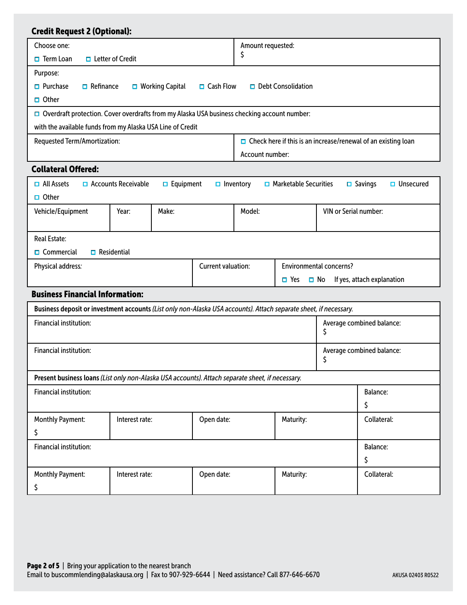| <b>Credit Request 2 (Optional):</b>                                                                               |                            |                        |                         |                   |                              |                       |                                                                      |
|-------------------------------------------------------------------------------------------------------------------|----------------------------|------------------------|-------------------------|-------------------|------------------------------|-----------------------|----------------------------------------------------------------------|
| Choose one:                                                                                                       |                            |                        |                         | Amount requested: |                              |                       |                                                                      |
| \$<br>$\Box$ Letter of Credit<br>$\Box$ Term Loan                                                                 |                            |                        |                         |                   |                              |                       |                                                                      |
| Purpose:                                                                                                          |                            |                        |                         |                   |                              |                       |                                                                      |
| $\Box$ Purchase<br>$\Box$ Refinance                                                                               |                            | $\Box$ Working Capital | $\Box$ Cash Flow        |                   | $\Box$ Debt Consolidation    |                       |                                                                      |
| $\Box$ Other                                                                                                      |                            |                        |                         |                   |                              |                       |                                                                      |
| Overdraft protection. Cover overdrafts from my Alaska USA business checking account number:                       |                            |                        |                         |                   |                              |                       |                                                                      |
| with the available funds from my Alaska USA Line of Credit                                                        |                            |                        |                         |                   |                              |                       |                                                                      |
| Requested Term/Amortization:                                                                                      |                            |                        |                         |                   |                              |                       | $\Box$ Check here if this is an increase/renewal of an existing loan |
|                                                                                                                   |                            |                        |                         | Account number:   |                              |                       |                                                                      |
| <b>Collateral Offered:</b>                                                                                        |                            |                        |                         |                   |                              |                       |                                                                      |
| $\Box$ All Assets                                                                                                 | $\Box$ Accounts Receivable | $\Box$ Equipment       | $\Box$ Inventory        |                   | $\Box$ Marketable Securities |                       | $\Box$ Savings<br>$\Box$ Unsecured                                   |
| $\Box$ Other                                                                                                      |                            |                        |                         |                   |                              |                       |                                                                      |
| Vehicle/Equipment                                                                                                 | Year:                      | Make:                  |                         | Model:            |                              | VIN or Serial number: |                                                                      |
|                                                                                                                   |                            |                        |                         |                   |                              |                       |                                                                      |
| <b>Real Estate:</b>                                                                                               |                            |                        |                         |                   |                              |                       |                                                                      |
| $\Box$ Commercial                                                                                                 | $\Box$ Residential         |                        |                         |                   |                              |                       |                                                                      |
| Current valuation:<br><b>Environmental concerns?</b><br>Physical address:                                         |                            |                        |                         |                   |                              |                       |                                                                      |
| If yes, attach explanation<br>$\Box$ Yes<br>$\Box$ No                                                             |                            |                        |                         |                   |                              |                       |                                                                      |
| <b>Business Financial Information:</b>                                                                            |                            |                        |                         |                   |                              |                       |                                                                      |
| Business deposit or investment accounts (List only non-Alaska USA accounts). Attach separate sheet, if necessary. |                            |                        |                         |                   |                              |                       |                                                                      |
| <b>Financial institution:</b>                                                                                     |                            |                        |                         |                   |                              |                       | Average combined balance:                                            |
|                                                                                                                   |                            |                        |                         |                   |                              | \$                    |                                                                      |
| <b>Financial institution:</b>                                                                                     |                            |                        |                         |                   |                              |                       | Average combined balance:                                            |
|                                                                                                                   |                            |                        |                         |                   |                              | \$                    |                                                                      |
| Present business loans (List only non-Alaska USA accounts). Attach separate sheet, if necessary.                  |                            |                        |                         |                   |                              |                       |                                                                      |
| Financial institution:                                                                                            |                            |                        |                         |                   |                              |                       | <b>Balance:</b>                                                      |
|                                                                                                                   |                            |                        | \$                      |                   |                              |                       |                                                                      |
| <b>Monthly Payment:</b>                                                                                           | Interest rate:             |                        | Open date:<br>Maturity: |                   | Collateral:                  |                       |                                                                      |
| \$                                                                                                                |                            |                        |                         |                   |                              |                       |                                                                      |
| Financial institution:                                                                                            |                            |                        |                         |                   | Balance:                     |                       |                                                                      |
|                                                                                                                   |                            |                        |                         | \$                |                              |                       |                                                                      |
| <b>Monthly Payment:</b>                                                                                           | Interest rate:             |                        | Open date:              |                   | Maturity:                    |                       | Collateral:                                                          |
| \$                                                                                                                |                            |                        |                         |                   |                              |                       |                                                                      |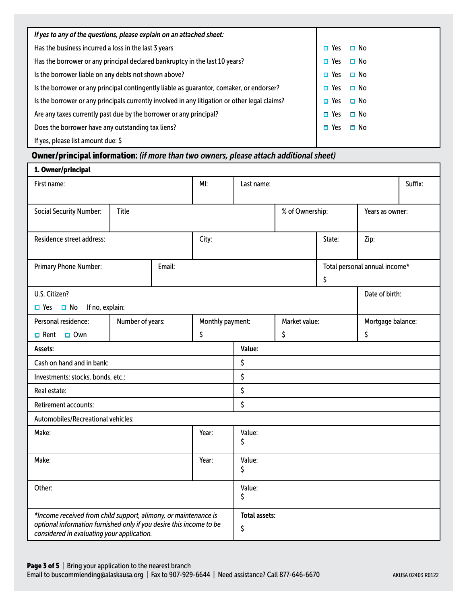| If yes to any of the questions, please explain on an attached sheet:                          |                         |
|-----------------------------------------------------------------------------------------------|-------------------------|
| Has the business incurred a loss in the last 3 years                                          | $\Box$ No<br>Yes        |
| Has the borrower or any principal declared bankruptcy in the last 10 years?                   | $\Box$ No<br>Yes        |
| Is the borrower liable on any debts not shown above?                                          | $\Box$ No<br>$\Box$ Yes |
| Is the borrower or any principal contingently liable as guarantor, comaker, or endorser?      | $\Box$ No<br>$\Box$ Yes |
| Is the borrower or any principals currently involved in any litigation or other legal claims? | $\Box$ No<br>$\Box$ Yes |
| Are any taxes currently past due by the borrower or any principal?                            | $\Box$ No<br>$\Box$ Yes |
| Does the borrower have any outstanding tax liens?                                             | $\Box$ No<br>$\Box$ Yes |
| If yes, please list amount due: $\zeta$                                                       |                         |

# Owner/principal information: *(if more than two owners, please attach additional sheet)*

| 1. Owner/principal                                                                                                |                  |        |                      |            |                 |        |                               |         |
|-------------------------------------------------------------------------------------------------------------------|------------------|--------|----------------------|------------|-----------------|--------|-------------------------------|---------|
| First name:                                                                                                       |                  |        | MI:                  | Last name: |                 |        |                               | Suffix: |
|                                                                                                                   |                  |        |                      |            |                 |        |                               |         |
| <b>Social Security Number:</b>                                                                                    | Title            |        |                      |            | % of Ownership: |        | Years as owner:               |         |
|                                                                                                                   |                  |        |                      |            |                 |        |                               |         |
| Residence street address:                                                                                         |                  |        | City:                |            |                 | State: | Zip:                          |         |
|                                                                                                                   |                  |        |                      |            |                 |        |                               |         |
| Primary Phone Number:                                                                                             |                  | Email: |                      |            |                 |        | Total personal annual income* |         |
|                                                                                                                   |                  |        |                      |            |                 | \$     |                               |         |
| U.S. Citizen?                                                                                                     |                  |        |                      |            |                 |        | Date of birth:                |         |
| $\Box$ No<br>If no, explain:<br>$\Box$ Yes                                                                        |                  |        |                      |            |                 |        |                               |         |
| Personal residence:                                                                                               | Number of years: |        | Monthly payment:     |            | Market value:   |        | Mortgage balance:             |         |
| $\Box$ Rent<br>$\Box$ Own                                                                                         |                  |        | \$                   |            | \$<br>\$        |        |                               |         |
| Assets:                                                                                                           |                  |        |                      | Value:     |                 |        |                               |         |
| Cash on hand and in bank:                                                                                         |                  |        | \$                   |            |                 |        |                               |         |
| Investments: stocks, bonds, etc.:                                                                                 |                  |        | \$                   |            |                 |        |                               |         |
| Real estate:                                                                                                      |                  |        |                      | \$         |                 |        |                               |         |
| Retirement accounts:                                                                                              |                  |        | \$                   |            |                 |        |                               |         |
| Automobiles/Recreational vehicles:                                                                                |                  |        |                      |            |                 |        |                               |         |
| Make:<br>Year:                                                                                                    |                  |        | Value:               |            |                 |        |                               |         |
|                                                                                                                   |                  |        |                      | \$         |                 |        |                               |         |
| Make:<br>Year:                                                                                                    |                  |        | Value:               |            |                 |        |                               |         |
|                                                                                                                   |                  |        |                      | \$         |                 |        |                               |         |
| Other:                                                                                                            |                  | Value: |                      |            |                 |        |                               |         |
|                                                                                                                   |                  |        |                      | \$         |                 |        |                               |         |
| *Income received from child support, alimony, or maintenance is                                                   |                  |        | <b>Total assets:</b> |            |                 |        |                               |         |
| optional information furnished only if you desire this income to be<br>considered in evaluating your application. |                  |        | \$                   |            |                 |        |                               |         |
|                                                                                                                   |                  |        |                      |            |                 |        |                               |         |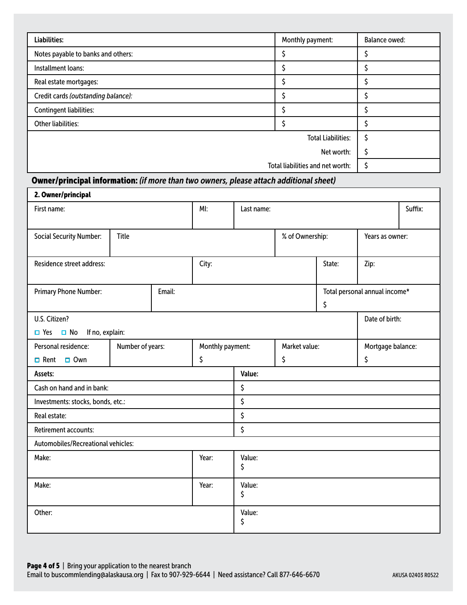| Liabilities:                        | Monthly payment:                 | <b>Balance owed:</b> |
|-------------------------------------|----------------------------------|----------------------|
| Notes payable to banks and others:  |                                  |                      |
| Installment loans:                  |                                  |                      |
| Real estate mortgages:              |                                  |                      |
| Credit cards (outstanding balance): |                                  |                      |
| Contingent liabilities:             |                                  |                      |
| Other liabilities:                  |                                  |                      |
|                                     | <b>Total Liabilities:</b>        |                      |
|                                     |                                  |                      |
|                                     | Total liabilities and net worth: |                      |

## Owner/principal information: *(if more than two owners, please attach additional sheet)*

| 2. Owner/principal                         |                  |        |                  |            |                 |        |                               |         |
|--------------------------------------------|------------------|--------|------------------|------------|-----------------|--------|-------------------------------|---------|
| First name:                                |                  |        | MI:              | Last name: |                 |        |                               | Suffix: |
|                                            |                  |        |                  |            |                 |        |                               |         |
| <b>Social Security Number:</b>             | <b>Title</b>     |        |                  |            | % of Ownership: |        | Years as owner:               |         |
|                                            |                  |        |                  |            |                 |        |                               |         |
| Residence street address:                  |                  |        | City:            |            |                 | State: | Zip:                          |         |
|                                            |                  |        |                  |            |                 |        |                               |         |
| Primary Phone Number:                      |                  | Email: |                  |            |                 |        | Total personal annual income* |         |
|                                            |                  |        |                  |            |                 | \$     |                               |         |
| U.S. Citizen?                              |                  |        |                  |            |                 |        | Date of birth:                |         |
| If no, explain:<br>$\Box$ No<br>$\Box$ Yes |                  |        |                  |            |                 |        |                               |         |
| Personal residence:                        | Number of years: |        | Monthly payment: |            | Market value:   |        | Mortgage balance:             |         |
| $\Box$ Rent<br>$\Box$ Own                  |                  | \$     |                  |            | \$              |        | \$                            |         |
| Assets:                                    |                  |        |                  | Value:     |                 |        |                               |         |
| Cash on hand and in bank:                  |                  |        |                  | \$         |                 |        |                               |         |
| Investments: stocks, bonds, etc.:          |                  |        |                  | \$         |                 |        |                               |         |
| Real estate:                               |                  |        |                  | \$         |                 |        |                               |         |
| Retirement accounts:                       |                  |        |                  | \$         |                 |        |                               |         |
| Automobiles/Recreational vehicles:         |                  |        |                  |            |                 |        |                               |         |
| Make:                                      |                  | Year:  | Value:           |            |                 |        |                               |         |
|                                            |                  |        |                  | \$         |                 |        |                               |         |
| Make:                                      |                  |        | Year:            | Value:     |                 |        |                               |         |
|                                            |                  |        |                  | \$         |                 |        |                               |         |
| Other:                                     |                  |        |                  | Value:     |                 |        |                               |         |
|                                            |                  |        |                  | \$         |                 |        |                               |         |